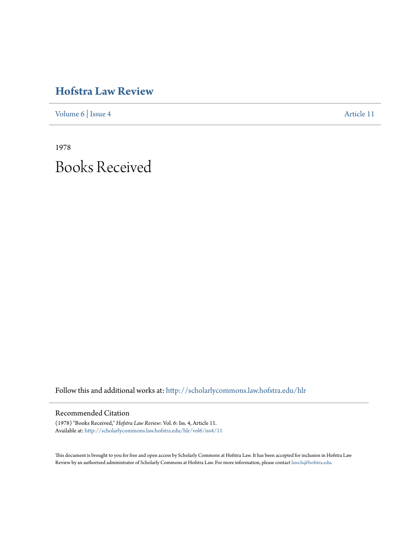## **[Hofstra Law Review](http://scholarlycommons.law.hofstra.edu/hlr?utm_source=scholarlycommons.law.hofstra.edu%2Fhlr%2Fvol6%2Fiss4%2F11&utm_medium=PDF&utm_campaign=PDFCoverPages)**

[Volume 6](http://scholarlycommons.law.hofstra.edu/hlr/vol6?utm_source=scholarlycommons.law.hofstra.edu%2Fhlr%2Fvol6%2Fiss4%2F11&utm_medium=PDF&utm_campaign=PDFCoverPages) | [Issue 4](http://scholarlycommons.law.hofstra.edu/hlr/vol6/iss4?utm_source=scholarlycommons.law.hofstra.edu%2Fhlr%2Fvol6%2Fiss4%2F11&utm_medium=PDF&utm_campaign=PDFCoverPages) [Article 11](http://scholarlycommons.law.hofstra.edu/hlr/vol6/iss4/11?utm_source=scholarlycommons.law.hofstra.edu%2Fhlr%2Fvol6%2Fiss4%2F11&utm_medium=PDF&utm_campaign=PDFCoverPages)

1978 Books Received

Follow this and additional works at: [http://scholarlycommons.law.hofstra.edu/hlr](http://scholarlycommons.law.hofstra.edu/hlr?utm_source=scholarlycommons.law.hofstra.edu%2Fhlr%2Fvol6%2Fiss4%2F11&utm_medium=PDF&utm_campaign=PDFCoverPages)

## Recommended Citation

(1978) "Books Received," *Hofstra Law Review*: Vol. 6: Iss. 4, Article 11. Available at: [http://scholarlycommons.law.hofstra.edu/hlr/vol6/iss4/11](http://scholarlycommons.law.hofstra.edu/hlr/vol6/iss4/11?utm_source=scholarlycommons.law.hofstra.edu%2Fhlr%2Fvol6%2Fiss4%2F11&utm_medium=PDF&utm_campaign=PDFCoverPages)

This document is brought to you for free and open access by Scholarly Commons at Hofstra Law. It has been accepted for inclusion in Hofstra Law Review by an authorized administrator of Scholarly Commons at Hofstra Law. For more information, please contact [lawcls@hofstra.edu](mailto:lawcls@hofstra.edu).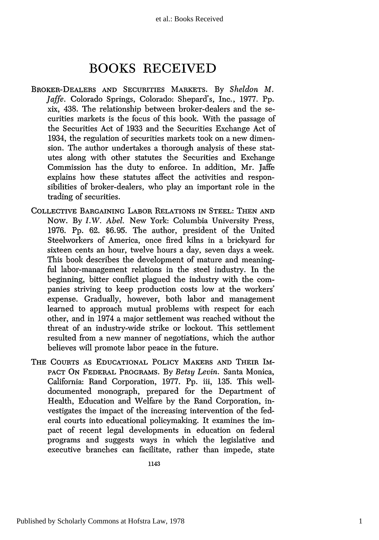## **BOOKS RECEIVED**

- BROKER-DEALERS AND SECURITIES MARKETS. By *Sheldon M. Jaffe.* Colorado Springs, Colorado: Shepard's, Inc., 1977. Pp. xix, 438. The relationship between broker-dealers and the securities markets is the focus of this book. With the passage of the Securities Act of 1933 and the Securities Exchange Act of 1934, the regulation of securities markets took on a new dimension. The author undertakes a thorough analysis of these statutes along with other statutes the Securities and Exchange Commission has the duty to enforce. In addition, Mr. Jaffe explains how these statutes affect the activities and responsibilities of broker-dealers, who play an important role in the trading of securities.
- COLLECTIVE BARGAINING LABOR RELATIONS IN STEEL: THEN AND Now. By *I.W. Abel.* New York: Columbia University Press, 1976. Pp. 62. \$6.95. The author, president of the United Steelworkers of America, once fired kilns in a brickyard for sixteen cents an hour, twelve hours a day, seven days a week. This book describes the development of mature and meaningful labor-management relations in the steel industry. In the beginning, bitter conflict plagued the industry with the companies striving to keep production costs low at the workers' expense. Gradually, however, both labor and management learned to approach mutual problems with respect for each other, and in 1974 a major settlement was reached without the threat of an industry-wide strike or lockout. This settlement resulted from a new manner of negotiations, which the author believes will promote labor peace in the future.
- THE COURTS AS EDUCATIONAL POLICY MAKERS AND THEIR IM-PACT ON FEDERAL PROGRAMS. By *Betsy Levin.* Santa Monica, California: Rand Corporation, 1977. Pp. iii, 135. This welldocumented monograph, prepared for the Department of Health, Education and Welfare by the Rand Corporation, investigates the impact of the increasing intervention of the federal courts into educational policymaking. It examines the impact of recent legal developments in education on federal programs and suggests ways in which the legislative and executive branches can facilitate, rather than impede, state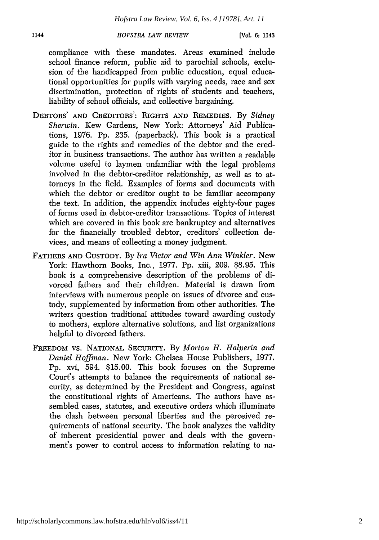*HOFSTRA LAW REVIEW*

compliance with these mandates. Areas examined include school finance reform, public aid to parochial schools, exclusion of the handicapped from public education, equal educational opportunities for pupils with varying needs, race and sex discrimination, protection of rights of students and teachers, liability of school officials, and collective bargaining.

- DEBTORS' AND CREDITORS': RIGHTS AND REMEDIES. By Sidney *Sherwin.* Kew Gardens, New York: Attorneys' Aid Publications, 1976. Pp. 235. (paperback). This book is a practical guide to the rights and remedies of the debtor and the creditor in business transactions. The author has written a readable volume useful to laymen unfamiliar with the legal problems involved in the debtor-creditor relationship, as well as to attorneys in the field. Examples of forms and documents with which the debtor or creditor ought to be familiar accompany the text. In addition, the appendix includes eighty-four pages of forms used in debtor-creditor transactions. Topics of interest which are covered in this book are bankruptcy and alternatives for the financially troubled debtor, creditors' collection devices, and means of collecting a money judgment.
- FATHERS AND CUSTODY. By *Ira Victor and Win Ann Winkler.* New York: Hawthorn Books, Inc., 1977. Pp. xiii, 209. \$8.95. This book is a comprehensive description of the problems of divorced fathers and their children. Material is drawn from interviews with numerous people on issues of divorce and custody, supplemented by information from other authorities. The writers question traditional attitudes toward awarding custody to mothers, explore alternative solutions, and list organizations helpful to divorced fathers.
- FREEDOM VS. NATIONAL SECURITY. **By** *Morton H. Halperin and Daniel Hoffman.* New York: Chelsea House Publishers, 1977. Pp. xvi, 594. \$15.00. This book focuses on the Supreme Court's attempts to balance the requirements of national security, as determined by the President and Congress, against the constitutional rights of Americans. The authors have assembled cases, statutes, and executive orders which illuminate the clash between personal liberties and the perceived requirements of national security. The book analyzes the validity of inherent presidential power and deals with the government's power to control access to information relating to na-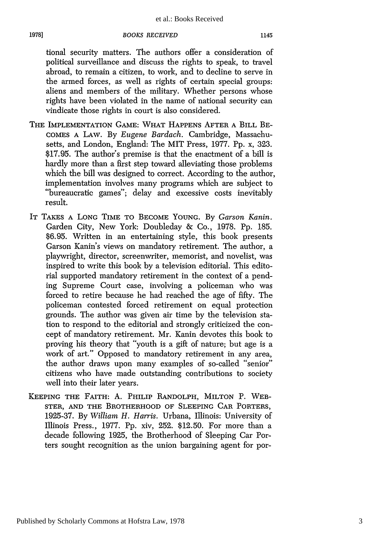*BOOKS RECEIVED*

**1978]**

tional security matters. The authors offer a consideration of political surveillance and discuss the rights to speak, to travel abroad, to remain a citizen, to work, and to decline to serve in the armed forces, as well as rights of certain special groups: aliens and members of the military. Whether persons whose rights have been violated in the name of national security can vindicate those rights in court is also considered.

- THE **IMPLEMENTATION GAME:** WHAT HAPPENS AFTER **A** BILL BE-**COMES A** LAW. By *Eugene Bardach.* Cambridge, Massachusetts, and London, England: The MIT Press, 1977. Pp. x, 323. \$17.95. The author's premise is that the enactment of a bill is hardly more than a first step toward alleviating those problems which the bill was designed to correct. According to the author, implementation involves many programs which are subject to "bureaucratic games"; delay and excessive costs inevitably result.
- IT **TAKES A LONG** TIME TO BECOME **YOUNG.** By *Garson Kanin.* Garden City, New York: Doubleday & Co., 1978. Pp. 185. \$6.95. Written in an entertaining style, this book presents Garson Kanin's views on mandatory retirement. The author, a playwright, director, screenwriter, memorist, and novelist, was inspired to write this book by a television editorial. This editorial supported mandatory retirement in the context of a pending Supreme Court case, involving a policeman who was forced to retire because he had reached the age of fifty. The policeman contested forced retirement on equal protection grounds. The author was given air time by the television station to respond to the editorial and strongly criticized the concept of mandatory retirement. Mr. Kanin devotes this book to proving his theory that "youth is a gift of nature; but age is a work of art." Opposed to mandatory retirement in any area, the author draws upon many examples of so-called "senior" citizens who have made outstanding contributions to society well into their later years.
- KEEPING THE FAITH: A. PHILIP RANDOLPH, MILTON P. WEB-STER, **AND** THE BROTHERHOOD OF SLEEPING CAR PORTERS, 1925-37. By *William H. Harris.* Urbana, Illinois: University of Illinois Press., 1977. Pp. xiv, 252. \$12.50. For more than a decade following 1925, the Brotherhood of Sleeping Car Porters sought recognition as the union bargaining agent for por-